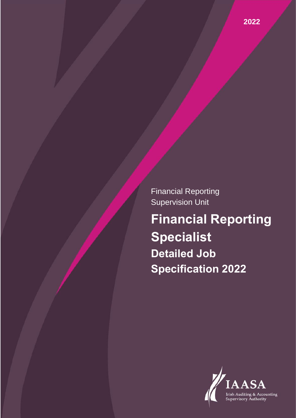Financial Reporting Supervision Unit

**Financial Reporting Specialist Detailed Job Specification 2022**

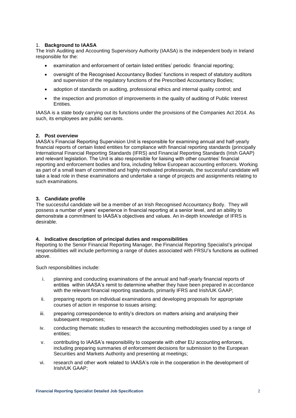#### 1. **Background to IAASA**

The Irish Auditing and Accounting Supervisory Authority (IAASA) is the independent body in Ireland responsible for the:

- examination and enforcement of certain listed entities' periodic financial reporting;
- oversight of the Recognised Accountancy Bodies' functions in respect of statutory auditors and supervision of the regulatory functions of the Prescribed Accountancy Bodies;
- adoption of standards on auditing, professional ethics and internal quality control; and
- the inspection and promotion of improvements in the quality of auditing of Public Interest Entities.

IAASA is a state body carrying out its functions under the provisions of the Companies Act 2014. As such, its employees are public servants.

### **2. Post overview**

IAASA's Financial Reporting Supervision Unit is responsible for examining annual and half-yearly financial reports of certain listed entities for compliance with financial reporting standards (principally International Financial Reporting Standards (IFRS) and Financial Reporting Standards (Irish GAAP) and relevant legislation. The Unit is also responsible for liaising with other countries' financial reporting and enforcement bodies and fora, including fellow European accounting enforcers. Working as part of a small team of committed and highly motivated professionals, the successful candidate will take a lead role in these examinations and undertake a range of projects and assignments relating to such examinations.

### **3. Candidate profile**

The successful candidate will be a member of an Irish Recognised Accountancy Body. They will possess a number of years' experience in financial reporting at a senior level, and an ability to demonstrate a commitment to IAASA's objectives and values. An in-depth knowledge of IFRS is desirable.

## **4. Indicative description of principal duties and responsibilities**

Reporting to the Senior Financial Reporting Manager, the Financial Reporting Specialist's principal responsibilities will include performing a range of duties associated with FRSU's functions as outlined above.

Such responsibilities include:

- i. planning and conducting examinations of the annual and half-yearly financial reports of entities within IAASA's remit to determine whether they have been prepared in accordance with the relevant financial reporting standards, primarily IFRS and Irish/UK GAAP;
- ii. preparing reports on individual examinations and developing proposals for appropriate courses of action in response to issues arising;
- iii. preparing correspondence to entity's directors on matters arising and analysing their subsequent responses;
- iv. conducting thematic studies to research the accounting methodologies used by a range of entities;
- v. contributing to IAASA's responsibility to cooperate with other EU accounting enforcers, including preparing summaries of enforcement decisions for submission to the European Securities and Markets Authority and presenting at meetings;
- vi. research and other work related to IAASA's role in the cooperation in the development of Irish/UK GAAP;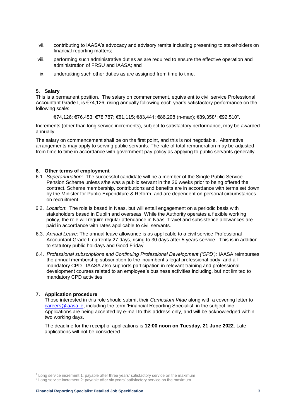- vii. contributing to IAASA's advocacy and advisory remits including presenting to stakeholders on financial reporting matters;
- viii. performing such administrative duties as are required to ensure the effective operation and administration of FRSU and IAASA; and
- ix. undertaking such other duties as are assigned from time to time.

#### **5. Salary**

This is a permanent position. The salary on commencement, equivalent to civil service Professional Accountant Grade I, is €74,126, rising annually following each year's satisfactory performance on the following scale:

€74,126; €76,453; €78,787; €81,115; €83,441; €86,208 (n-max); €89,358<sup>1</sup> ; €92,510<sup>2</sup> .

Increments (other than long service increments), subject to satisfactory performance, may be awarded annually.

The salary on commencement shall be on the first point, and this is not negotiable. Alternative arrangements may apply to serving public servants. The rate of total remuneration may be adjusted from time to time in accordance with government pay policy as applying to public servants generally.

### **6. Other terms of employment**

- 6.1. *Superannuation:* The successful candidate will be a member of the Single Public Service Pension Scheme unless s/he was a public servant in the 26 weeks prior to being offered the contract. Scheme membership, contributions and benefits are in accordance with terms set down by the Minister for Public Expenditure & Reform, and are dependent on personal circumstances on recruitment.
- 6.2. *Location*: The role is based in Naas, but will entail engagement on a periodic basis with stakeholders based in Dublin and overseas. While the Authority operates a flexible working policy, the role will require regular attendance in Naas. Travel and subsistence allowances are paid in accordance with rates applicable to civil servants.
- 6.3. *Annual Leave:* The annual leave allowance is as applicable to a civil service Professional Accountant Grade I, currently 27 days, rising to 30 days after 5 years service. This is in addition to statutory public holidays and Good Friday.
- 6.4. *Professional subscriptions and Continuing Professional Development ('CPD'):* IAASA reimburses the annual membership subscription to the incumbent's legal professional body, and all mandatory CPD. IAASA also supports participation in relevant training and professional development courses related to an employee's business activities including, but not limited to mandatory CPD activities.

#### **7. Application procedure**

-

Those interested in this role should submit their *Curriculum Vitae* along with a covering letter to [careers@iaasa.ie,](mailto:careers@iaasa.ie) including the term 'Financial Reporting Specialist' in the subject line. Applications are being accepted by e-mail to this address only, and will be acknowledged within two working days.

The deadline for the receipt of applications is **12:00 noon on Tuesday, 21 June 2022**. Late applications will not be considered.

<sup>1</sup> Long service increment 1: payable after three years' satisfactory service on the maximum

<sup>&</sup>lt;sup>2</sup> Long service increment 2: payable after six years' satisfactory service on the maximum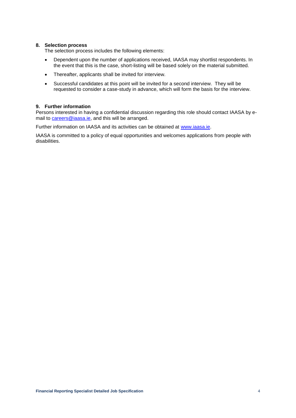#### **8. Selection process**

The selection process includes the following elements:

- Dependent upon the number of applications received, IAASA may shortlist respondents. In the event that this is the case, short-listing will be based solely on the material submitted.
- Thereafter, applicants shall be invited for interview.
- Successful candidates at this point will be invited for a second interview. They will be requested to consider a case-study in advance, which will form the basis for the interview.

# **9. Further information**

Persons interested in having a confidential discussion regarding this role should contact IAASA by email to **careers@iaasa.ie**, and this will be arranged.

Further information on IAASA and its activities can be obtained at [www.iaasa.ie.](http://www.iaasa.ie/)

IAASA is committed to a policy of equal opportunities and welcomes applications from people with disabilities.